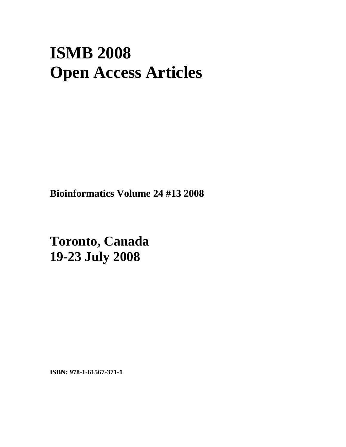# **ISMB 2008 Open Access Articles**

**Bioinformatics Volume 24 #13 2008**

**Toronto, Canada 19-23 July 2008** 

**ISBN: 978-1-61567-371-1**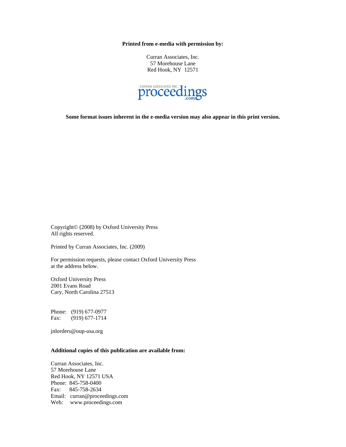**Printed from e-media with permission by:** 

Curran Associates, Inc. 57 Morehouse Lane Red Hook, NY 12571



**Some format issues inherent in the e-media version may also appear in this print version.** 

Copyright© (2008) by Oxford University Press All rights reserved.

Printed by Curran Associates, Inc. (2009)

For permission requests, please contact Oxford University Press at the address below.

Oxford University Press 2001 Evans Road Cary, North Carolina 27513

Phone: (919) 677-0977 Fax: (919) 677-1714

jnlorders@oup-usa.org

#### **Additional copies of this publication are available from:**

Curran Associates, Inc. 57 Morehouse Lane Red Hook, NY 12571 USA Phone: 845-758-0400 Fax: 845-758-2634 Email: curran@proceedings.com Web: www.proceedings.com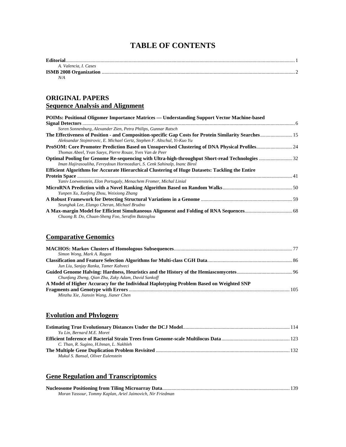## **TABLE OF CONTENTS**

| <b>Editorial</b>      |  |
|-----------------------|--|
| A. Valencia. I. Cases |  |
|                       |  |

*N/A* 

#### **ORIGINAL PAPERS Sequence Analysis and Alignment**

| POIMs: Positional Oligomer Importance Matrices — Understanding Support Vector Machine-based           |  |
|-------------------------------------------------------------------------------------------------------|--|
|                                                                                                       |  |
| Soren Sonnenburg, Alexander Zien, Petra Philips, Gunnar Ratsch                                        |  |
| The Effectiveness of Position - and Composition-specific Gap Costs for Protein Similarity Searches 15 |  |
| Aleksandar Stojmirovic, E. Michael Gertz, Stephen F. Altschul, Yi-Kuo Yu                              |  |
|                                                                                                       |  |
| Thomas Abeel, Yvan Saeys, Pierre Rouze, Yves Van de Peer                                              |  |
|                                                                                                       |  |
| Iman Hajirasouliha, Fereydoun Hormozdiari, S. Cenk Sahinalp, Inanc Birol                              |  |
| Efficient Algorithms for Accurate Hierarchical Clustering of Huge Datasets: Tackling the Entire       |  |
|                                                                                                       |  |
| Yaniv Loewenstein, Elon Portugaly, Menachem Fromer, Michal Linial                                     |  |
|                                                                                                       |  |
| Yunpen Xu, Xuefeng Zhou, Weixiong Zhang                                                               |  |
|                                                                                                       |  |
| Seunghak Lee, Elango Cheran, Michael Brudno                                                           |  |
|                                                                                                       |  |
| Chuong B. Do, Chuan-Sheng Foo, Serafim Batzoglou                                                      |  |

## **Comparative Genomics**

| Simon Wong, Mark A. Ragan                                                               |  |
|-----------------------------------------------------------------------------------------|--|
|                                                                                         |  |
| Jun Liu, Sanjay Ranka, Tamer Kahveci                                                    |  |
|                                                                                         |  |
| Chunfang Zheng, Oian Zhu, Zaky Adam, David Sankoff                                      |  |
| A Model of Higher Accuracy for the Individual Haplotyping Problem Based on Weighted SNP |  |
|                                                                                         |  |
| Minzhu Xie, Jianxin Wang, Jianer Chen                                                   |  |

## **Evolution and Phylogeny**

| Yu Lin, Bernard M.E. Moret              |  |
|-----------------------------------------|--|
|                                         |  |
| C. Than, R. Sugino, H.Innan, L. Nakhleh |  |
|                                         |  |
| Mukul S. Bansal, Oliver Eulenstein      |  |

#### **Gene Regulation and Transcriptomics**

| Moran Yassour, Tommy Kaplan, Ariel Jaimovich, Nir Friedman |  |
|------------------------------------------------------------|--|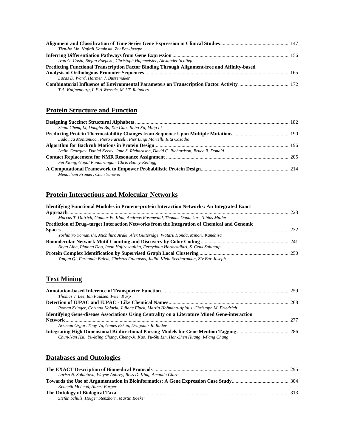| Tien-ho Lin, Naftali Kaminski, Ziv Bar-Joseph                                                |  |
|----------------------------------------------------------------------------------------------|--|
|                                                                                              |  |
| Ivan G. Costa, Stefan Roepcke, Christoph Hafemeister, Alexander Schliep                      |  |
| Predicting Functional Transcription Factor Binding Through Alignment-free and Affinity-based |  |
|                                                                                              |  |
| Lucas D. Ward, Harmen J. Bussemaker                                                          |  |
| T.A. Knijnenburg, L.F.A. Wessels, M.J.T. Reinders                                            |  |

#### **Protein Structure and Function**

| Shuai Cheng Li, Dongbo Bu, Xin Gao, Jinbo Xu, Ming Li                                   |  |
|-----------------------------------------------------------------------------------------|--|
|                                                                                         |  |
| Ludovica Montanucci, Piero Fariselli, Pier Luigi Martelli, Rita Casadio                 |  |
|                                                                                         |  |
| Ivelin Georgiev, Daniel Keedy, Jane S. Richardson, David C. Richardson, Bruce R. Donald |  |
|                                                                                         |  |
| Fei Xiong, Gopal Pandurangan, Chris Bailey-Kellogg                                      |  |
|                                                                                         |  |
| Menachem Fromer, Chen Yanover                                                           |  |

## **Protein Interactions and Molecular Networks**

| <b>Identifying Functional Modules in Protein–protein Interaction Networks: An Integrated Exact</b> |  |
|----------------------------------------------------------------------------------------------------|--|
|                                                                                                    |  |
| Marcus T. Dittrich, Gunnar W. Klau, Andreas Rosenwald, Thomas Dandekar, Tobias Muller              |  |
| Prediction of Drug-target Interaction Networks from the Integration of Chemical and Genomic        |  |
|                                                                                                    |  |
| Yoshihiro Yamanishi, Michihiro Araki, Alex Gutteridge, Wataru Honda, Minoru Kanehisa               |  |
|                                                                                                    |  |
| Noga Alon, Phuong Dao, Iman Hajirasouliha, Fereydoun Hormozdiari, S. Cenk Sahinalp                 |  |
|                                                                                                    |  |
| Yanjun Oi, Fernanda Balem, Christos Faloutsos, Judith Klein-Seetharaman, Ziv Bar-Joseph            |  |
|                                                                                                    |  |

### **Text Mining**

| Thomas J. Lee, Ian Paulsen, Peter Karp                                                                                                                                                                                               |  |
|--------------------------------------------------------------------------------------------------------------------------------------------------------------------------------------------------------------------------------------|--|
|                                                                                                                                                                                                                                      |  |
| Roman Klinger, Corinna Kolarik, Juliane Fluck, Martin Hofmann-Apitius, Christoph M. Friedrich                                                                                                                                        |  |
| <b>Identifying Gene-disease Associations Using Centrality on a Literature Mined Gene-interaction</b>                                                                                                                                 |  |
| Network <u>with the community of the community of the community of the community of the community of the community of the community of the community of the community of the community of the community of the community of the </u> |  |
| Arzucan Ozgur, Thuy Vu, Gunes Erkan, Dragomir R. Radev                                                                                                                                                                               |  |
|                                                                                                                                                                                                                                      |  |
| Chun-Nan Hsu, Yu-Ming Chang, Cheng-Ju Kuo, Yu-Shi Lin, Han-Shen Huang, I-Fang Chung                                                                                                                                                  |  |
|                                                                                                                                                                                                                                      |  |

#### **Databases and Ontologies**

| Larisa N. Soldatova, Wayne Aubrey, Ross D. King, Amanda Clare |  |
|---------------------------------------------------------------|--|
|                                                               |  |
| Kenneth McLeod, Albert Burger                                 |  |
|                                                               |  |
| Stefan Schulz, Holger Stenzhorn, Martin Boeker                |  |